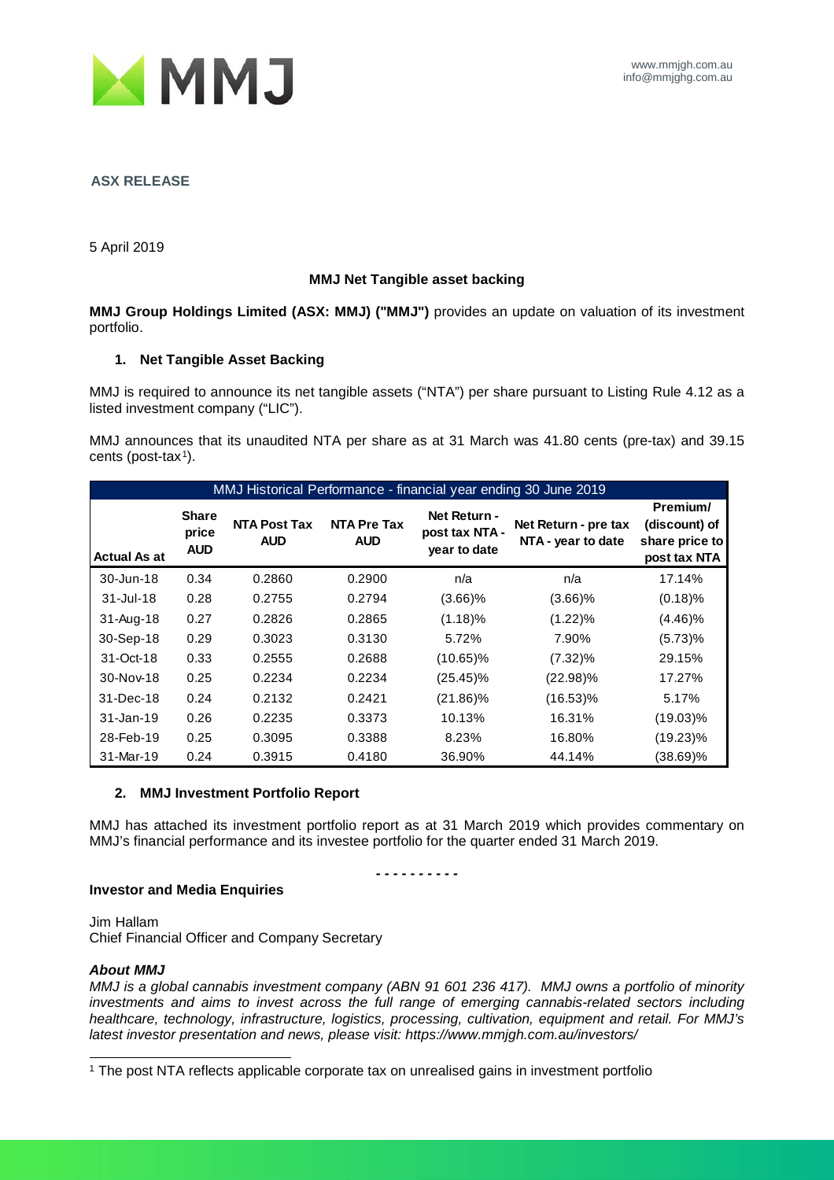

#### **ASX RELEASE**

5 April 2019

#### **MMJ Net Tangible asset backing**

**MMJ Group Holdings Limited (ASX: MMJ) ("MMJ")** provides an update on valuation of its investment portfolio.

### **1. Net Tangible Asset Backing**

MMJ is required to announce its net tangible assets ("NTA") per share pursuant to Listing Rule 4.12 as a listed investment company ("LIC").

MMJ announces that its unaudited NTA per share as at 31 March was 41.80 cents (pre-tax) and 39.15 cents (post-tax $1$ ).

| MMJ Historical Performance - financial year ending 30 June 2019 |                                     |                                   |                                  |                                                |                                            |                                                             |  |
|-----------------------------------------------------------------|-------------------------------------|-----------------------------------|----------------------------------|------------------------------------------------|--------------------------------------------|-------------------------------------------------------------|--|
| Actual As at                                                    | <b>Share</b><br>price<br><b>AUD</b> | <b>NTA Post Tax</b><br><b>AUD</b> | <b>NTA Pre Tax</b><br><b>AUD</b> | Net Return -<br>post tax NTA -<br>year to date | Net Return - pre tax<br>NTA - year to date | Premium/<br>(discount) of<br>share price to<br>post tax NTA |  |
| 30-Jun-18                                                       | 0.34                                | 0.2860                            | 0.2900                           | n/a                                            | n/a                                        | 17.14%                                                      |  |
| $31 -$ Jul-18                                                   | 0.28                                | 0.2755                            | 0.2794                           | $(3.66)\%$                                     | $(3.66)\%$                                 | $(0.18)$ %                                                  |  |
| 31-Aug-18                                                       | 0.27                                | 0.2826                            | 0.2865                           | (1.18)%                                        | $(1.22)\%$                                 | $(4.46)\%$                                                  |  |
| 30-Sep-18                                                       | 0.29                                | 0.3023                            | 0.3130                           | 5.72%                                          | 7.90%                                      | (5.73)%                                                     |  |
| 31-Oct-18                                                       | 0.33                                | 0.2555                            | 0.2688                           | $(10.65)\%$                                    | $(7.32)\%$                                 | 29.15%                                                      |  |
| $30-Nov-18$                                                     | 0.25                                | 0.2234                            | 0.2234                           | $(25.45)\%$                                    | $(22.98)\%$                                | 17.27%                                                      |  |
| 31-Dec-18                                                       | 0.24                                | 0.2132                            | 0.2421                           | $(21.86)\%$                                    | $(16.53)\%$                                | 5.17%                                                       |  |
| 31-Jan-19                                                       | 0.26                                | 0.2235                            | 0.3373                           | 10.13%                                         | 16.31%                                     | $(19.03)\%$                                                 |  |
| 28-Feb-19                                                       | 0.25                                | 0.3095                            | 0.3388                           | 8.23%                                          | 16.80%                                     | $(19.23)\%$                                                 |  |
| 31-Mar-19                                                       | 0.24                                | 0.3915                            | 0.4180                           | 36.90%                                         | 44.14%                                     | $(38.69)\%$                                                 |  |

#### **2. MMJ Investment Portfolio Report**

MMJ has attached its investment portfolio report as at 31 March 2019 which provides commentary on MMJ's financial performance and its investee portfolio for the quarter ended 31 March 2019.

*- - - - - - - - - -*

#### **Investor and Media Enquiries**

Jim Hallam Chief Financial Officer and Company Secretary

#### *About MMJ*

*MMJ is a global cannabis investment company (ABN 91 601 236 417). MMJ owns a portfolio of minority investments and aims to invest across the full range of emerging cannabis-related sectors including healthcare, technology, infrastructure, logistics, processing, cultivation, equipment and retail. For MMJ's latest investor presentation and news, please visit: https://www.mmjgh.com.au/investors/*

<span id="page-0-0"></span>1 The post NTA reflects applicable corporate tax on unrealised gains in investment portfolio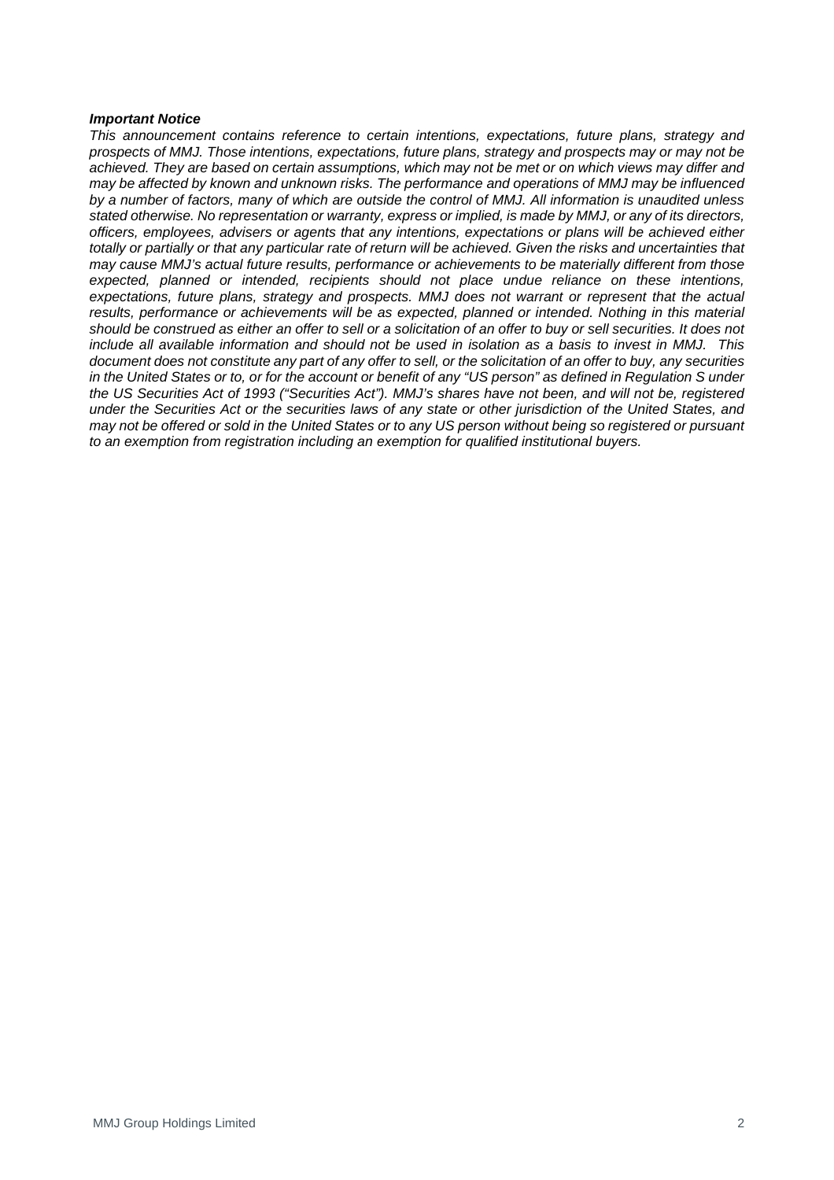#### *Important Notice*

*This announcement contains reference to certain intentions, expectations, future plans, strategy and prospects of MMJ. Those intentions, expectations, future plans, strategy and prospects may or may not be achieved. They are based on certain assumptions, which may not be met or on which views may differ and may be affected by known and unknown risks. The performance and operations of MMJ may be influenced by a number of factors, many of which are outside the control of MMJ. All information is unaudited unless stated otherwise. No representation or warranty, express or implied, is made by MMJ, or any of its directors, officers, employees, advisers or agents that any intentions, expectations or plans will be achieved either totally or partially or that any particular rate of return will be achieved. Given the risks and uncertainties that may cause MMJ's actual future results, performance or achievements to be materially different from those expected, planned or intended, recipients should not place undue reliance on these intentions, expectations, future plans, strategy and prospects. MMJ does not warrant or represent that the actual*  results, performance or achievements will be as expected, planned or intended. Nothing in this material *should be construed as either an offer to sell or a solicitation of an offer to buy or sell securities. It does not include all available information and should not be used in isolation as a basis to invest in MMJ. This document does not constitute any part of any offer to sell, or the solicitation of an offer to buy, any securities in the United States or to, or for the account or benefit of any "US person" as defined in Regulation S under the US Securities Act of 1993 ("Securities Act"). MMJ's shares have not been, and will not be, registered under the Securities Act or the securities laws of any state or other jurisdiction of the United States, and may not be offered or sold in the United States or to any US person without being so registered or pursuant to an exemption from registration including an exemption for qualified institutional buyers.*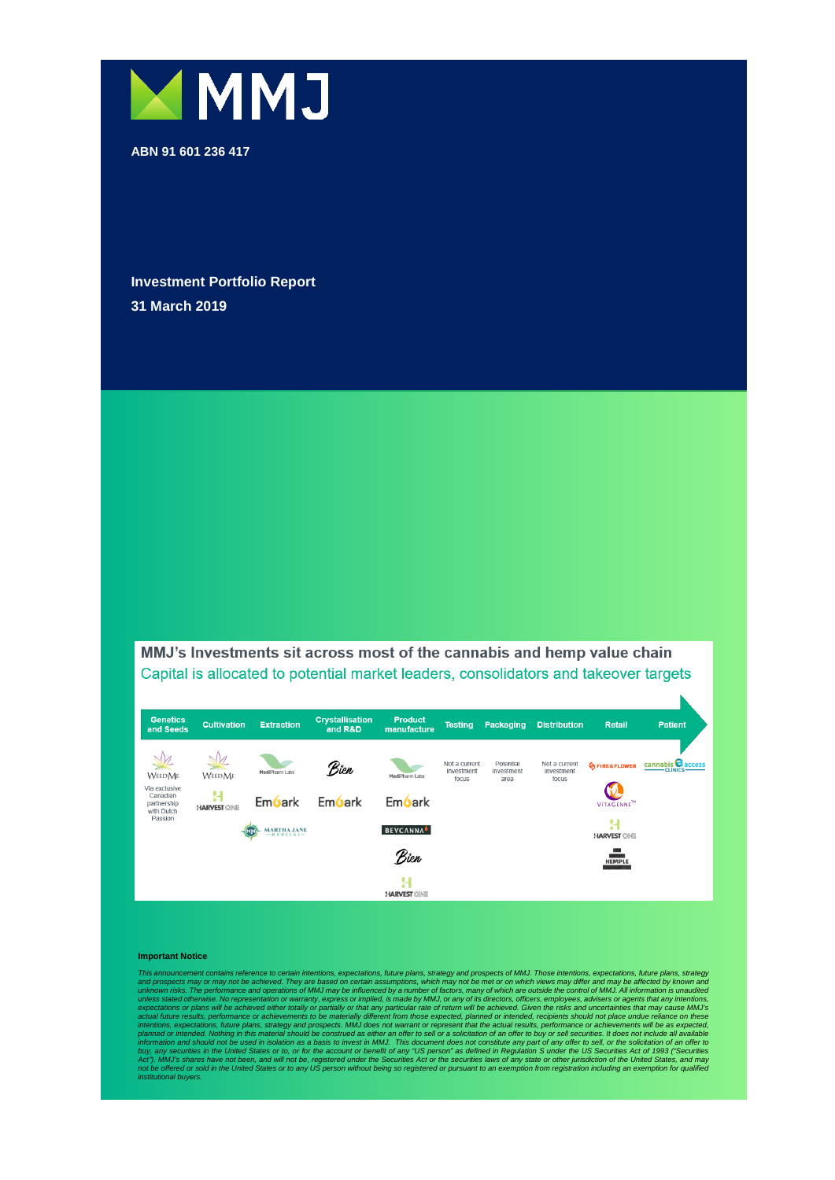

**ABN 91 601 236 417**

**Investment Portfolio Report 31 March 2019**

MMJ's Investments sit across most of the cannabis and hemp value chain Capital is allocated to potential market leaders, consolidators and takeover targets



#### **Important Notice**

This announcement contains reference to certain intentions, expectations, future plane, strategy and prospects may or may not be achieved. They are bassed on certain assumptions, which may not be met or on which views may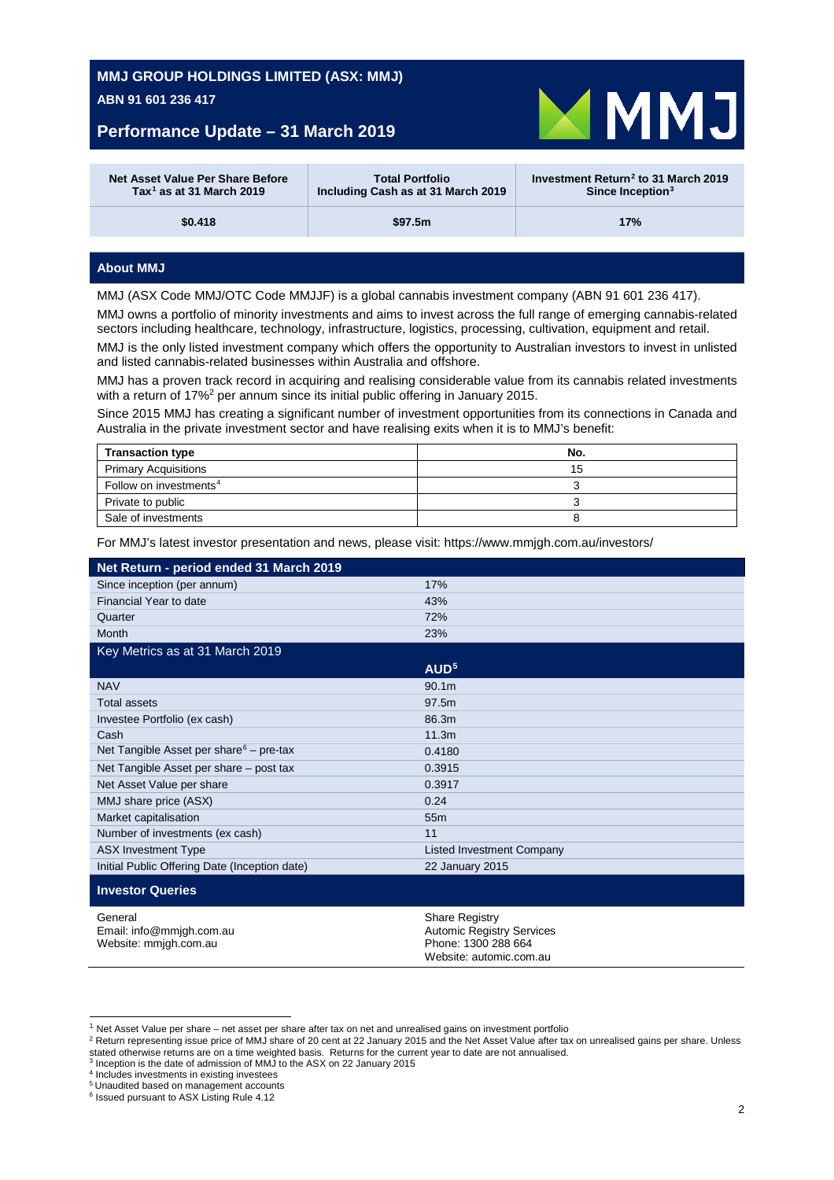## **Performance Update – 31 March 2019**

<span id="page-3-0"></span>

| Net Asset Value Per Share Before     | <b>Total Portfolio</b>             | Investment Return <sup>2</sup> to 31 March 2019 |  |
|--------------------------------------|------------------------------------|-------------------------------------------------|--|
| Tax <sup>1</sup> as at 31 March 2019 | Including Cash as at 31 March 2019 | Since Inception $3$                             |  |
| \$0.418                              | \$97.5m                            | 17%                                             |  |

#### **About MMJ**

MMJ (ASX Code MMJ/OTC Code MMJJF) is a global cannabis investment company (ABN 91 601 236 417).

MMJ owns a portfolio of minority investments and aims to invest across the full range of emerging cannabis-related sectors including healthcare, technology, infrastructure, logistics, processing, cultivation, equipment and retail.

MMJ is the only listed investment company which offers the opportunity to Australian investors to invest in unlisted and listed cannabis-related businesses within Australia and offshore.

MMJ has a proven track record in acquiring and realising considerable value from its cannabis related investments with a return of 17%<sup>2</sup> per annum since its initial public offering in January 2015.

Since 2015 MMJ has creating a significant number of investment opportunities from its connections in Canada and Australia in the private investment sector and have realising exits when it is to MMJ's benefit:

| <b>Transaction type</b>            | No. |
|------------------------------------|-----|
| <b>Primary Acquisitions</b>        | 15  |
| Follow on investments <sup>4</sup> |     |
| Private to public                  |     |
| Sale of investments                |     |

For MMJ's latest investor presentation and news, please visit: https://www.mmjgh.com.au/investors/

| Net Return - period ended 31 March 2019                      |                                                                                                             |
|--------------------------------------------------------------|-------------------------------------------------------------------------------------------------------------|
| Since inception (per annum)                                  | 17%                                                                                                         |
| Financial Year to date                                       | 43%                                                                                                         |
| Quarter                                                      | 72%                                                                                                         |
| Month                                                        | 23%                                                                                                         |
| Key Metrics as at 31 March 2019                              |                                                                                                             |
|                                                              | AUD <sup>5</sup>                                                                                            |
| <b>NAV</b>                                                   | 90.1 <sub>m</sub>                                                                                           |
| <b>Total assets</b>                                          | 97.5m                                                                                                       |
| Investee Portfolio (ex cash)                                 | 86.3m                                                                                                       |
| Cash                                                         | 11.3m                                                                                                       |
| Net Tangible Asset per share $6 -$ pre-tax                   | 0.4180                                                                                                      |
| Net Tangible Asset per share – post tax                      | 0.3915                                                                                                      |
| Net Asset Value per share                                    | 0.3917                                                                                                      |
| MMJ share price (ASX)                                        | 0.24                                                                                                        |
| Market capitalisation                                        | 55 <sub>m</sub>                                                                                             |
| Number of investments (ex cash)                              | 11                                                                                                          |
| <b>ASX Investment Type</b>                                   | <b>Listed Investment Company</b>                                                                            |
| Initial Public Offering Date (Inception date)                | 22 January 2015                                                                                             |
| <b>Investor Queries</b>                                      |                                                                                                             |
| General<br>Email: info@mmjgh.com.au<br>Website: mmjgh.com.au | <b>Share Registry</b><br><b>Automic Registry Services</b><br>Phone: 1300 288 664<br>Website: automic.com.au |

 $1$  Net Asset Value per share – net asset per share after tax on net and unrealised gains on investment portfolio

<span id="page-3-5"></span><span id="page-3-4"></span><sup>2</sup> Return representing issue price of MMJ share of 20 cent at 22 January 2015 and the Net Asset Value after tax on unrealised gains per share. Unless stated otherwise returns are on a time weighted basis. Returns for the current year to date are not annualised.<br><sup>3</sup> Inception is the date of admission of MMJ to the ASX on 22 January 2015

<span id="page-3-6"></span><span id="page-3-1"></span><sup>4</sup> Includes investments in existing investees

<sup>5</sup> Unaudited based on management accounts

<span id="page-3-3"></span><span id="page-3-2"></span><sup>6</sup> Issued pursuant to ASX Listing Rule 4.12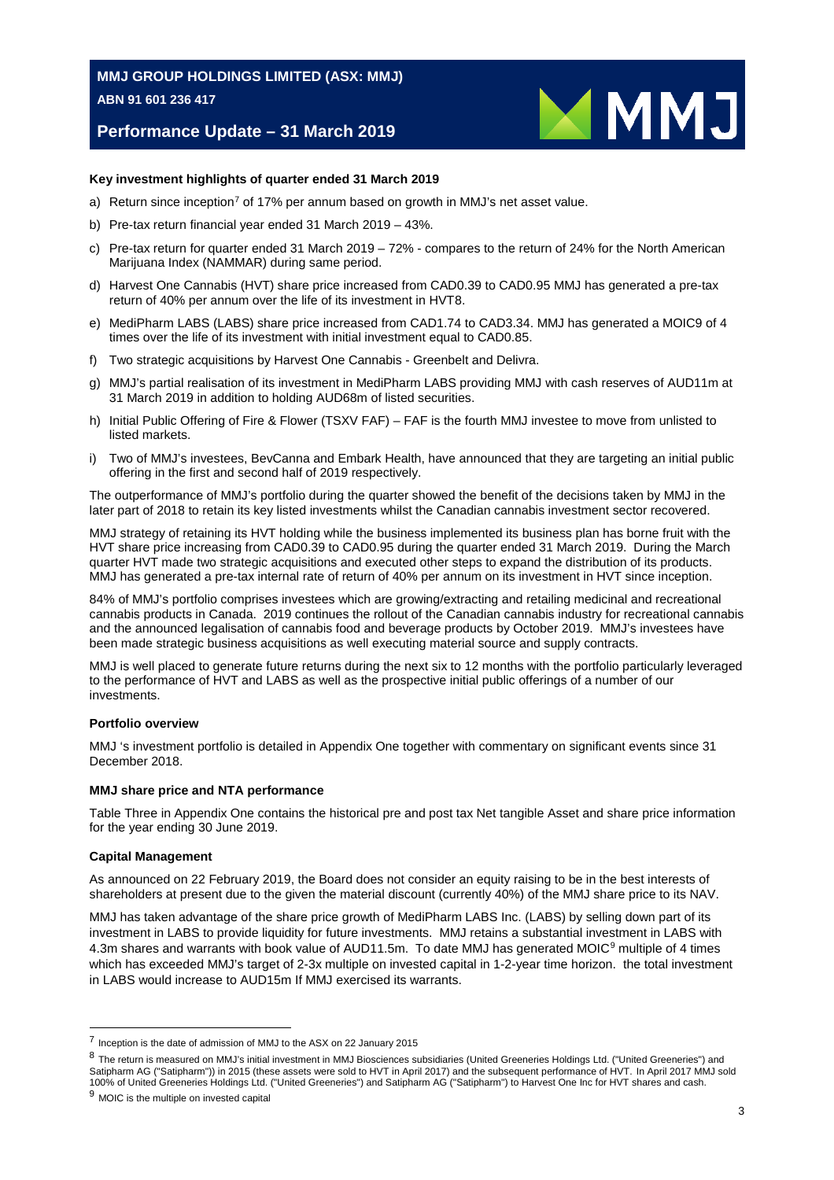## **Performance Update – 31 March 2019**



#### **Key investment highlights of quarter ended 31 March 2019**

- a) Return since inception<sup>[7](#page-4-1)</sup> of 17% per annum based on growth in MMJ's net asset value.
- b) Pre-tax return financial year ended 31 March 2019 43%.
- c) Pre-tax return for quarter ended 31 March 2019 72% compares to the return of 24% for the North American Marijuana Index (NAMMAR) during same period.
- d) Harvest One Cannabis (HVT) share price increased from CAD0.39 to CAD0.95 MMJ has generated a pre-tax return of 40% per annum over the life of its investment in HVT[8.](#page-4-2)
- e) MediPharm LABS (LABS) share price increased from CAD1.74 to CAD3.34. MMJ has generated a MOI[C9](#page-4-0) of 4 times over the life of its investment with initial investment equal to CAD0.85.
- f) Two strategic acquisitions by Harvest One Cannabis Greenbelt and Delivra.
- g) MMJ's partial realisation of its investment in MediPharm LABS providing MMJ with cash reserves of AUD11m at 31 March 2019 in addition to holding AUD68m of listed securities.
- h) Initial Public Offering of Fire & Flower (TSXV FAF) FAF is the fourth MMJ investee to move from unlisted to listed markets.
- i) Two of MMJ's investees, BevCanna and Embark Health, have announced that they are targeting an initial public offering in the first and second half of 2019 respectively.

The outperformance of MMJ's portfolio during the quarter showed the benefit of the decisions taken by MMJ in the later part of 2018 to retain its key listed investments whilst the Canadian cannabis investment sector recovered.

MMJ strategy of retaining its HVT holding while the business implemented its business plan has borne fruit with the HVT share price increasing from CAD0.39 to CAD0.95 during the quarter ended 31 March 2019. During the March quarter HVT made two strategic acquisitions and executed other steps to expand the distribution of its products. MMJ has generated a pre-tax internal rate of return of 40% per annum on its investment in HVT since inception.

84% of MMJ's portfolio comprises investees which are growing/extracting and retailing medicinal and recreational cannabis products in Canada. 2019 continues the rollout of the Canadian cannabis industry for recreational cannabis and the announced legalisation of cannabis food and beverage products by October 2019. MMJ's investees have been made strategic business acquisitions as well executing material source and supply contracts.

MMJ is well placed to generate future returns during the next six to 12 months with the portfolio particularly leveraged to the performance of HVT and LABS as well as the prospective initial public offerings of a number of our investments.

#### **Portfolio overview**

MMJ 's investment portfolio is detailed in Appendix One together with commentary on significant events since 31 December 2018.

#### **MMJ share price and NTA performance**

Table Three in Appendix One contains the historical pre and post tax Net tangible Asset and share price information for the year ending 30 June 2019.

#### **Capital Management**

As announced on 22 February 2019, the Board does not consider an equity raising to be in the best interests of shareholders at present due to the given the material discount (currently 40%) of the MMJ share price to its NAV.

<span id="page-4-0"></span>MMJ has taken advantage of the share price growth of MediPharm LABS Inc. (LABS) by selling down part of its investment in LABS to provide liquidity for future investments. MMJ retains a substantial investment in LABS with 4.3m shares and warrants with book value of AUD11.5m. To date MMJ has generated MOIC<sup>9</sup> multiple of 4 times which has exceeded MMJ's target of 2-3x multiple on invested capital in 1-2-year time horizon. the total investment in LABS would increase to AUD15m If MMJ exercised its warrants.

<span id="page-4-1"></span> <sup>7</sup> Inception is the date of admission of MMJ to the ASX on 22 January 2015

<span id="page-4-2"></span><sup>8</sup> The return is measured on MMJ's initial investment in MMJ Biosciences subsidiaries (United Greeneries Holdings Ltd. ("United Greeneries") and Satipharm AG ("Satipharm")) in 2015 (these assets were sold to HVT in April 2017) and the subsequent performance of HVT. In April 2017 MMJ sold 100% of United Greeneries Holdings Ltd. ("United Greeneries") and Satipharm AG ("Satipharm") to Harvest One Inc for HVT shares and cash.

<span id="page-4-3"></span><sup>&</sup>lt;sup>9</sup> MOIC is the multiple on invested capital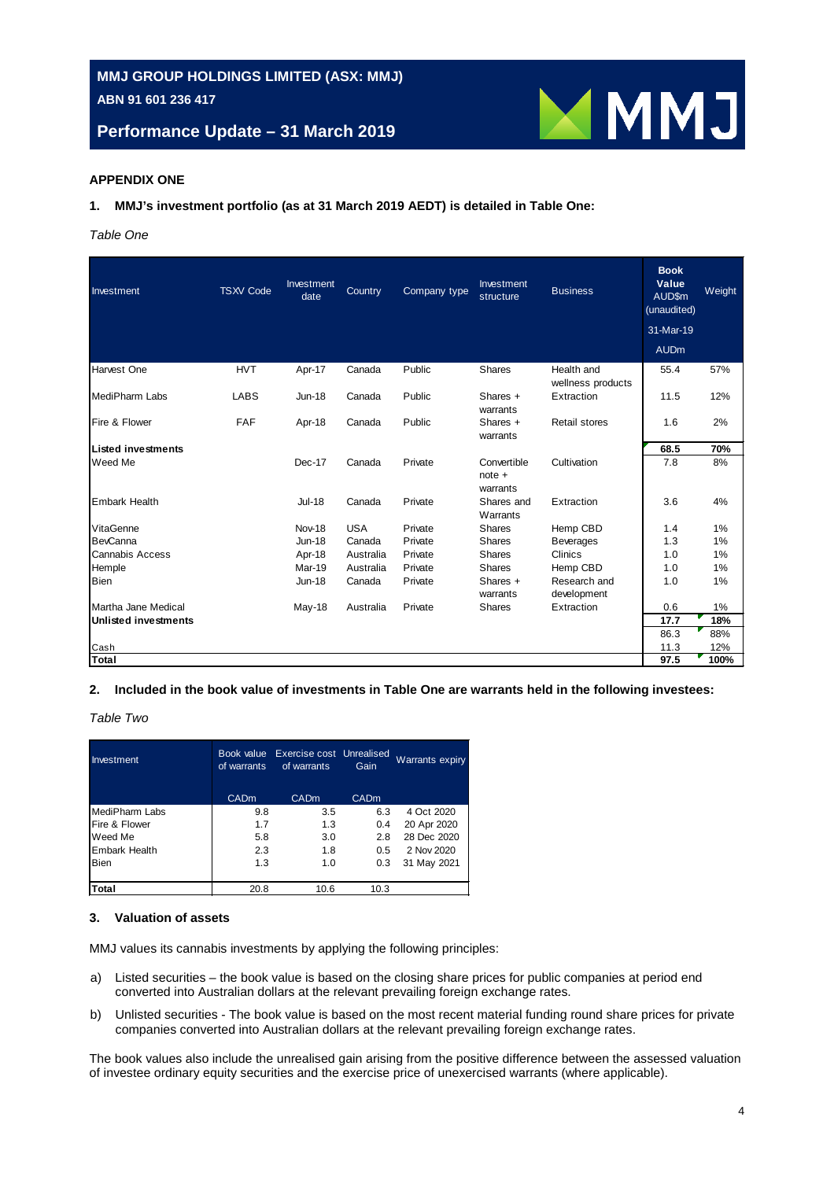**Performance Update – 31 March 2019**



#### **APPENDIX ONE**

#### **1. MMJ's investment portfolio (as at 31 March 2019 AEDT) is detailed in Table One:**

*Table One*

| Investment                  | <b>TSXV Code</b> | Investment<br>date | Country    | Company type | Investment<br>structure             | <b>Business</b>                 | <b>Book</b><br>Value<br>AUD\$m<br>(unaudited) | Weight |
|-----------------------------|------------------|--------------------|------------|--------------|-------------------------------------|---------------------------------|-----------------------------------------------|--------|
|                             |                  |                    |            |              |                                     |                                 | 31-Mar-19                                     |        |
|                             |                  |                    |            |              |                                     |                                 | <b>AUDm</b>                                   |        |
| Harvest One                 | <b>HVT</b>       | Apr-17             | Canada     | Public       | <b>Shares</b>                       | Health and<br>wellness products | 55.4                                          | 57%    |
| MediPharm Labs              | <b>LABS</b>      | <b>Jun-18</b>      | Canada     | Public       | Shares $+$<br>warrants              | Extraction                      | 11.5                                          | 12%    |
| Fire & Flower               | <b>FAF</b>       | Apr-18             | Canada     | Public       | Shares $+$<br>warrants              | Retail stores                   | 1.6                                           | 2%     |
| <b>Listed investments</b>   |                  |                    |            |              |                                     |                                 | 68.5                                          | 70%    |
| Weed Me                     |                  | Dec-17             | Canada     | Private      | Convertible<br>$note +$<br>warrants | Cultivation                     | 7.8                                           | 8%     |
| <b>Embark Health</b>        |                  | <b>Jul-18</b>      | Canada     | Private      | Shares and<br>Warrants              | Extraction                      | 3.6                                           | 4%     |
| VitaGenne                   |                  | Nov-18             | <b>USA</b> | Private      | <b>Shares</b>                       | Hemp CBD                        | 1.4                                           | 1%     |
| <b>BevCanna</b>             |                  | <b>Jun-18</b>      | Canada     | Private      | <b>Shares</b>                       | <b>Beverages</b>                | 1.3                                           | 1%     |
| <b>Cannabis Access</b>      |                  | Apr-18             | Australia  | Private      | <b>Shares</b>                       | Clinics                         | 1.0                                           | 1%     |
| Hemple                      |                  | Mar-19             | Australia  | Private      | <b>Shares</b>                       | Hemp CBD                        | 1.0                                           | 1%     |
| <b>Bien</b>                 |                  | $Jun-18$           | Canada     | Private      | Shares $+$<br>warrants              | Research and<br>development     | 1.0                                           | 1%     |
| Martha Jane Medical         |                  | May-18             | Australia  | Private      | <b>Shares</b>                       | Extraction                      | 0.6                                           | 1%     |
| <b>Unlisted investments</b> |                  |                    |            |              |                                     |                                 | 17.7                                          | 18%    |
|                             |                  |                    |            |              |                                     |                                 | 86.3                                          | 88%    |
| Cash                        |                  |                    |            |              |                                     |                                 | 11.3                                          | 12%    |
| Total                       |                  |                    |            |              |                                     |                                 | 97.5                                          | 100%   |

#### **2. Included in the book value of investments in Table One are warrants held in the following investees:**

*Table Two*

| Investment           | of warrants | Book value Exercise cost Unrealised<br>of warrants | Gain        | <b>Warrants expiry</b> |
|----------------------|-------------|----------------------------------------------------|-------------|------------------------|
|                      | <b>CADm</b> | <b>CADm</b>                                        | <b>CADm</b> |                        |
| MediPharm Labs       | 9.8         | 3.5                                                | 6.3         | 4 Oct 2020             |
| Fire & Flower        | 1.7         | 1.3                                                | 0.4         | 20 Apr 2020            |
| Weed Me              | 5.8         | 3.0                                                | 2.8         | 28 Dec 2020            |
| <b>Embark Health</b> | 2.3         | 1.8                                                | 0.5         | 2 Nov 2020             |
| <b>Bien</b>          | 1.3         | 1.0                                                | 0.3         | 31 May 2021            |
|                      |             |                                                    |             |                        |
| Total                | 20.8        | 10.6                                               | 10.3        |                        |

#### **3. Valuation of assets**

MMJ values its cannabis investments by applying the following principles:

- a) Listed securities the book value is based on the closing share prices for public companies at period end converted into Australian dollars at the relevant prevailing foreign exchange rates.
- b) Unlisted securities The book value is based on the most recent material funding round share prices for private companies converted into Australian dollars at the relevant prevailing foreign exchange rates.

The book values also include the unrealised gain arising from the positive difference between the assessed valuation of investee ordinary equity securities and the exercise price of unexercised warrants (where applicable).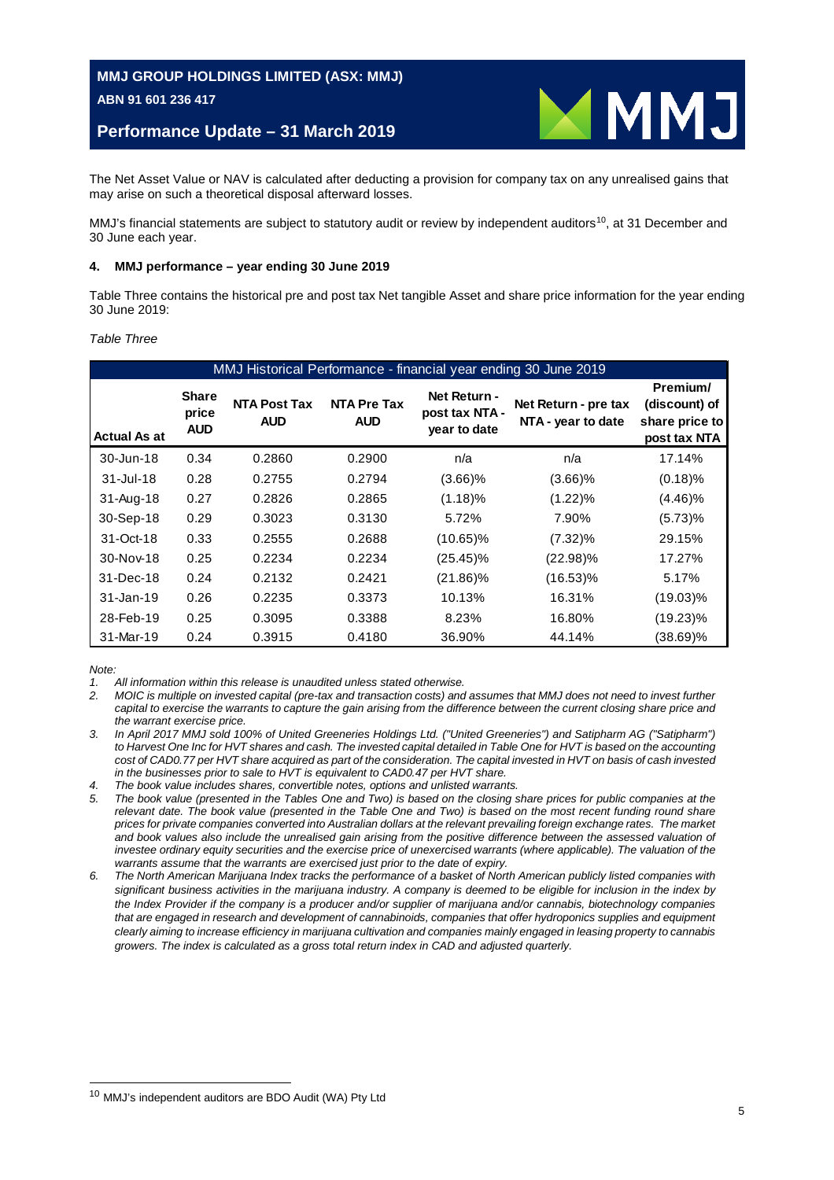## **Performance Update – 31 March 2019**



The Net Asset Value or NAV is calculated after deducting a provision for company tax on any unrealised gains that may arise on such a theoretical disposal afterward losses.

MMJ's financial statements are subject to statutory audit or review by independent auditors<sup>[10](#page-6-0)</sup>, at 31 December and 30 June each year.

#### **4. MMJ performance – year ending 30 June 2019**

Table Three contains the historical pre and post tax Net tangible Asset and share price information for the year ending 30 June 2019:

#### *Table Three*

| MMJ Historical Performance - financial year ending 30 June 2019 |                                     |                                   |                                  |                                                |                                            |                                                             |  |
|-----------------------------------------------------------------|-------------------------------------|-----------------------------------|----------------------------------|------------------------------------------------|--------------------------------------------|-------------------------------------------------------------|--|
| <b>Actual As at</b>                                             | <b>Share</b><br>price<br><b>AUD</b> | <b>NTA Post Tax</b><br><b>AUD</b> | <b>NTA Pre Tax</b><br><b>AUD</b> | Net Return -<br>post tax NTA -<br>year to date | Net Return - pre tax<br>NTA - year to date | Premium/<br>(discount) of<br>share price to<br>post tax NTA |  |
| 30-Jun-18                                                       | 0.34                                | 0.2860                            | 0.2900                           | n/a                                            | n/a                                        | 17.14%                                                      |  |
| $31 -$ Jul-18                                                   | 0.28                                | 0.2755                            | 0.2794                           | $(3.66)\%$                                     | $(3.66)\%$                                 | $(0.18)$ %                                                  |  |
| $31 - Aug-18$                                                   | 0.27                                | 0.2826                            | 0.2865                           | $(1.18)\%$                                     | $(1.22)\%$                                 | $(4.46)\%$                                                  |  |
| 30-Sep-18                                                       | 0.29                                | 0.3023                            | 0.3130                           | 5.72%                                          | 7.90%                                      | (5.73)%                                                     |  |
| 31-Oct-18                                                       | 0.33                                | 0.2555                            | 0.2688                           | $(10.65)\%$                                    | $(7.32)\%$                                 | 29.15%                                                      |  |
| 30-Nov-18                                                       | 0.25                                | 0.2234                            | 0.2234                           | $(25.45)\%$                                    | (22.98)%                                   | 17.27%                                                      |  |
| 31-Dec-18                                                       | 0.24                                | 0.2132                            | 0.2421                           | $(21.86)\%$                                    | (16.53)%                                   | 5.17%                                                       |  |
| 31-Jan-19                                                       | 0.26                                | 0.2235                            | 0.3373                           | 10.13%                                         | 16.31%                                     | $(19.03)\%$                                                 |  |
| 28-Feb-19                                                       | 0.25                                | 0.3095                            | 0.3388                           | 8.23%                                          | 16.80%                                     | $(19.23)\%$                                                 |  |
| 31-Mar-19                                                       | 0.24                                | 0.3915                            | 0.4180                           | 36.90%                                         | 44.14%                                     | $(38.69)\%$                                                 |  |

*Note:*

*1. All information within this release is unaudited unless stated otherwise.*

*2. MOIC is multiple on invested capital (pre-tax and transaction costs) and assumes that MMJ does not need to invest further capital to exercise the warrants to capture the gain arising from the difference between the current closing share price and the warrant exercise price.*

*3. In April 2017 MMJ sold 100% of United Greeneries Holdings Ltd. ("United Greeneries") and Satipharm AG ("Satipharm")*  to Harvest One Inc for HVT shares and cash. The invested capital detailed in Table One for HVT is based on the accounting *cost of CAD0.77 per HVT share acquired as part of the consideration. The capital invested in HVT on basis of cash invested in the businesses prior to sale to HVT is equivalent to CAD0.47 per HVT share.*

*4. The book value includes shares, convertible notes, options and unlisted warrants.*

- *5. The book value (presented in the Tables One and Two) is based on the closing share prices for public companies at the*  relevant date. The book value (presented in the Table One and Two) is based on the most recent funding round share *prices for private companies converted into Australian dollars at the relevant prevailing foreign exchange rates. The market* and book values also include the unrealised gain arising from the positive difference between the assessed valuation of *investee ordinary equity securities and the exercise price of unexercised warrants (where applicable). The valuation of the warrants assume that the warrants are exercised just prior to the date of expiry.*
- *6. The North American Marijuana Index tracks the performance of a basket of North American publicly listed companies with significant business activities in the marijuana industry. A company is deemed to be eligible for inclusion in the index by the Index Provider if the company is a producer and/or supplier of marijuana and/or cannabis, biotechnology companies*  that are engaged in research and development of cannabinoids, companies that offer hydroponics supplies and equipment *clearly aiming to increase efficiency in marijuana cultivation and companies mainly engaged in leasing property to cannabis growers. The index is calculated as a gross total return index in CAD and adjusted quarterly.*

<span id="page-6-0"></span> <sup>10</sup> MMJ's independent auditors are BDO Audit (WA) Pty Ltd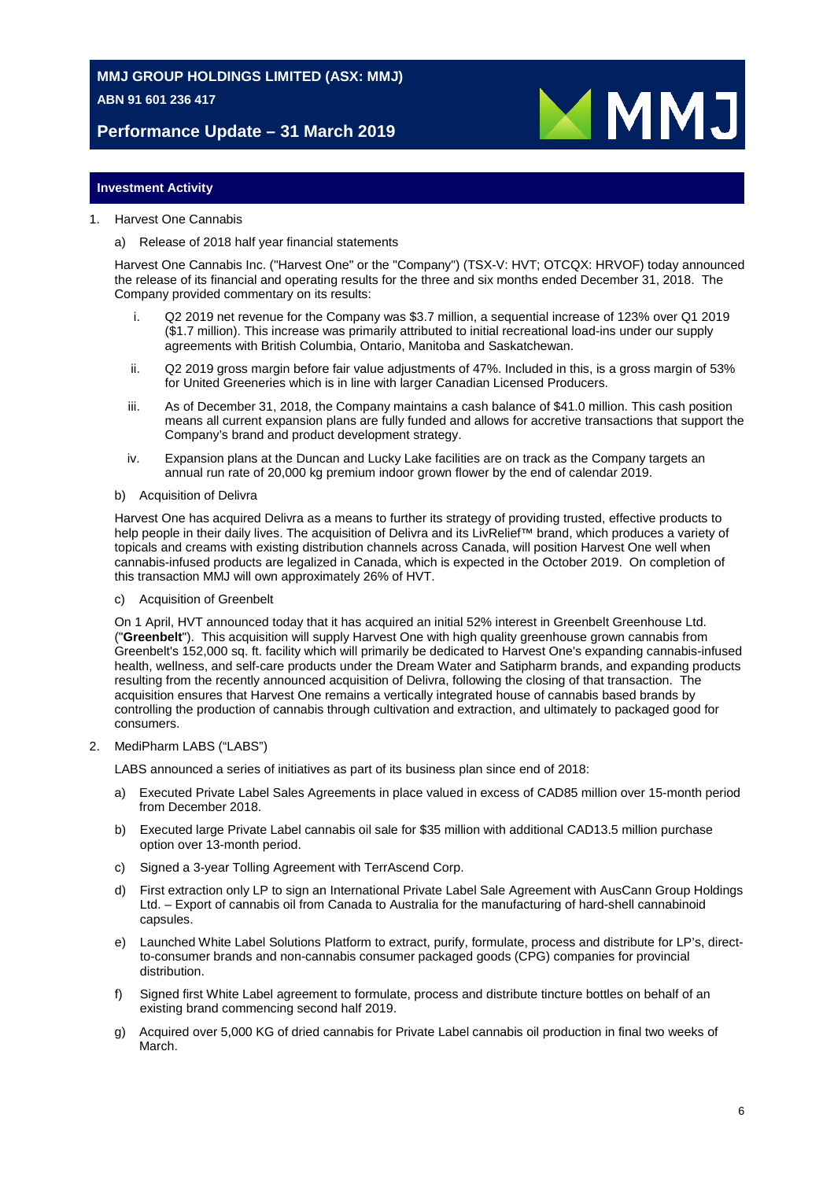**Performance Update – 31 March 2019**



#### **Investment Activity**

#### 1. Harvest One Cannabis

#### a) Release of 2018 half year financial statements

Harvest One Cannabis Inc. ("Harvest One" or the "Company") (TSX-V: HVT; OTCQX: HRVOF) today announced the release of its financial and operating results for the three and six months ended December 31, 2018. The Company provided commentary on its results:

- i. Q2 2019 net revenue for the Company was \$3.7 million, a sequential increase of 123% over Q1 2019 (\$1.7 million). This increase was primarily attributed to initial recreational load-ins under our supply agreements with British Columbia, Ontario, Manitoba and Saskatchewan.
- ii. Q2 2019 gross margin before fair value adjustments of 47%. Included in this, is a gross margin of 53% for United Greeneries which is in line with larger Canadian Licensed Producers.
- iii. As of December 31, 2018, the Company maintains a cash balance of \$41.0 million. This cash position means all current expansion plans are fully funded and allows for accretive transactions that support the Company's brand and product development strategy.
- iv. Expansion plans at the Duncan and Lucky Lake facilities are on track as the Company targets an annual run rate of 20,000 kg premium indoor grown flower by the end of calendar 2019.
- b) Acquisition of Delivra

Harvest One has acquired Delivra as a means to further its strategy of providing trusted, effective products to help people in their daily lives. The acquisition of Delivra and its LivRelief™ brand, which produces a variety of topicals and creams with existing distribution channels across Canada, will position Harvest One well when cannabis-infused products are legalized in Canada, which is expected in the October 2019. On completion of this transaction MMJ will own approximately 26% of HVT.

c) Acquisition of Greenbelt

On 1 April, HVT announced today that it has acquired an initial 52% interest in Greenbelt Greenhouse Ltd. ("**Greenbelt**"). This acquisition will supply Harvest One with high quality greenhouse grown cannabis from Greenbelt's 152,000 sq. ft. facility which will primarily be dedicated to Harvest One's expanding cannabis-infused health, wellness, and self-care products under the Dream Water and Satipharm brands, and expanding products resulting from the recently announced acquisition of Delivra, following the closing of that transaction. The acquisition ensures that Harvest One remains a vertically integrated house of cannabis based brands by controlling the production of cannabis through cultivation and extraction, and ultimately to packaged good for consumers.

#### 2. MediPharm LABS ("LABS")

LABS announced a series of initiatives as part of its business plan since end of 2018:

- a) Executed Private Label Sales Agreements in place valued in excess of CAD85 million over 15-month period from December 2018.
- b) Executed large Private Label cannabis oil sale for \$35 million with additional CAD13.5 million purchase option over 13-month period.
- c) Signed a 3-year Tolling Agreement with TerrAscend Corp.
- d) First extraction only LP to sign an International Private Label Sale Agreement with AusCann Group Holdings Ltd. – Export of cannabis oil from Canada to Australia for the manufacturing of hard-shell cannabinoid capsules.
- e) Launched White Label Solutions Platform to extract, purify, formulate, process and distribute for LP's, directto-consumer brands and non-cannabis consumer packaged goods (CPG) companies for provincial distribution.
- f) Signed first White Label agreement to formulate, process and distribute tincture bottles on behalf of an existing brand commencing second half 2019.
- g) Acquired over 5,000 KG of dried cannabis for Private Label cannabis oil production in final two weeks of March.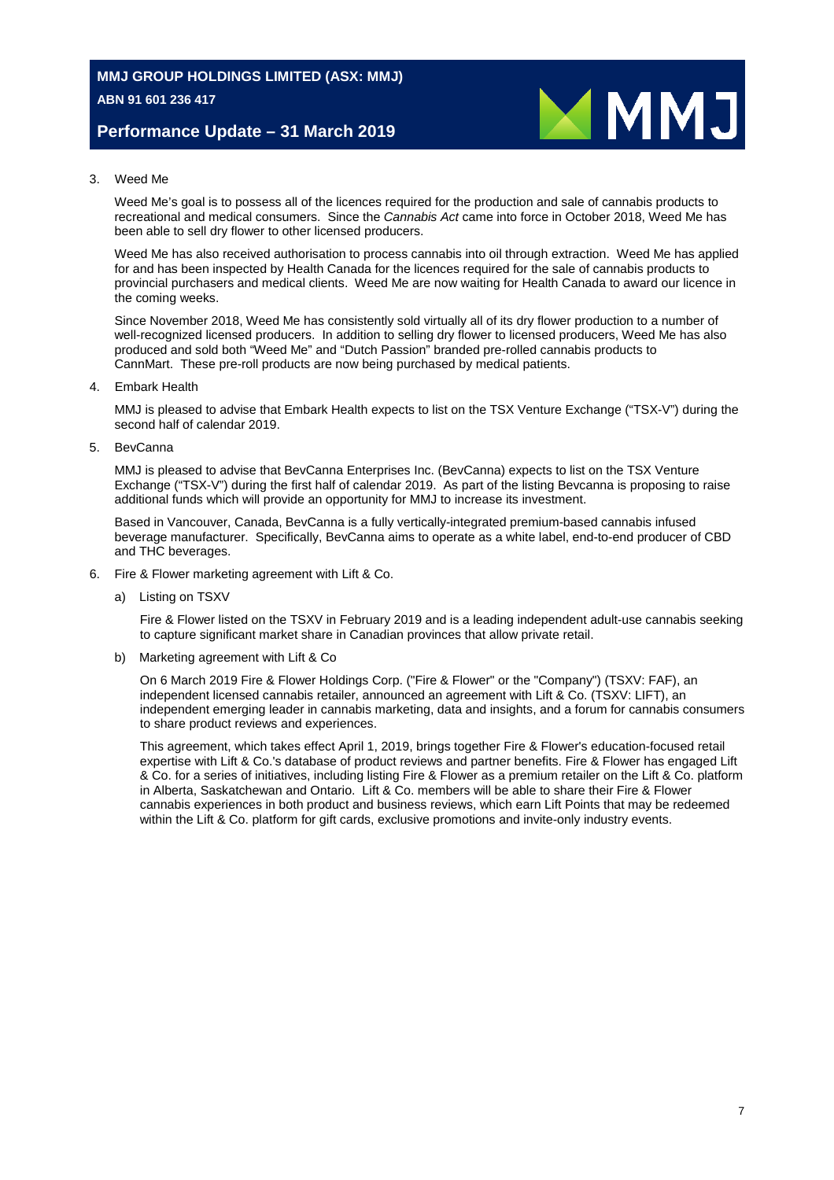## **Performance Update – 31 March 2019**



#### 3. Weed Me

Weed Me's goal is to possess all of the licences required for the production and sale of cannabis products to recreational and medical consumers. Since the *Cannabis Act* came into force in October 2018, Weed Me has been able to sell dry flower to other licensed producers.

Weed Me has also received authorisation to process cannabis into oil through extraction. Weed Me has applied for and has been inspected by Health Canada for the licences required for the sale of cannabis products to provincial purchasers and medical clients. Weed Me are now waiting for Health Canada to award our licence in the coming weeks.

Since November 2018, Weed Me has consistently sold virtually all of its dry flower production to a number of well-recognized licensed producers. In addition to selling dry flower to licensed producers, Weed Me has also produced and sold both "Weed Me" and "Dutch Passion" branded pre-rolled cannabis products to [CannMart.](https://weedme.us17.list-manage.com/track/click?u=80f8942c4c37044a522687a51&id=a559801fd7&e=379019eae2) These pre-roll products are now being purchased by medical patients.

4. Embark Health

MMJ is pleased to advise that Embark Health expects to list on the TSX Venture Exchange ("TSX-V") during the second half of calendar 2019.

5. BevCanna

MMJ is pleased to advise that BevCanna Enterprises Inc. (BevCanna) expects to list on the TSX Venture Exchange ("TSX-V") during the first half of calendar 2019. As part of the listing Bevcanna is proposing to raise additional funds which will provide an opportunity for MMJ to increase its investment.

Based in Vancouver, Canada, BevCanna is a fully vertically-integrated premium-based cannabis infused beverage manufacturer. Specifically, BevCanna aims to operate as a white label, end-to-end producer of CBD and THC beverages.

- 6. Fire & Flower marketing agreement with Lift & Co.
	- a) Listing on TSXV

Fire & Flower listed on the TSXV in February 2019 and is a leading independent adult-use cannabis seeking to capture significant market share in Canadian provinces that allow private retail.

b) Marketing agreement with Lift & Co

On 6 March 2019 Fire & Flower Holdings Corp. ("Fire & Flower" or the "Company") (TSXV: FAF), an independent licensed cannabis retailer, announced an agreement with Lift & Co. (TSXV: LIFT), an independent emerging leader in cannabis marketing, data and insights, and a forum for cannabis consumers to share product reviews and experiences.

This agreement, which takes effect April 1, 2019, brings together Fire & Flower's education-focused retail expertise with Lift & Co.'s database of product reviews and partner benefits. Fire & Flower has engaged Lift & Co. for a series of initiatives, including listing Fire & Flower as a premium retailer on the Lift & Co. platform in Alberta, Saskatchewan and Ontario. Lift & Co. members will be able to share their Fire & Flower cannabis experiences in both product and business reviews, which earn Lift Points that may be redeemed within the Lift & Co. platform for gift cards, exclusive promotions and invite-only industry events.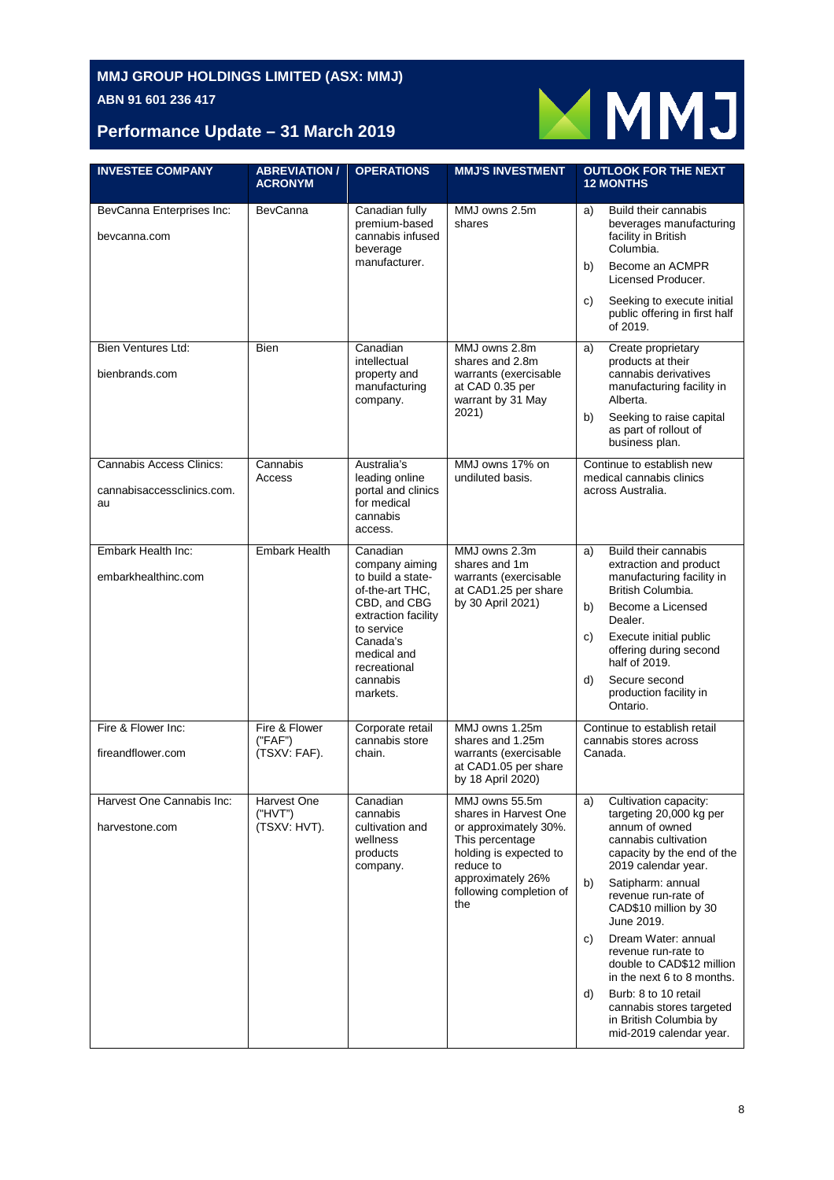

# **Performance Update – 31 March 2019**

| <b>INVESTEE COMPANY</b>                                             | <b>ABREVIATION /</b><br><b>ACRONYM</b>   | <b>OPERATIONS</b>                                                                                                                                                                          | <b>MMJ'S INVESTMENT</b>                                                                                                                                                           | <b>OUTLOOK FOR THE NEXT</b><br><b>12 MONTHS</b>                                                                                                                                                                                                                                                                                                                                                                                                                              |
|---------------------------------------------------------------------|------------------------------------------|--------------------------------------------------------------------------------------------------------------------------------------------------------------------------------------------|-----------------------------------------------------------------------------------------------------------------------------------------------------------------------------------|------------------------------------------------------------------------------------------------------------------------------------------------------------------------------------------------------------------------------------------------------------------------------------------------------------------------------------------------------------------------------------------------------------------------------------------------------------------------------|
| BevCanna Enterprises Inc:<br>bevcanna.com                           | <b>BevCanna</b>                          | Canadian fully<br>premium-based<br>cannabis infused<br>beverage<br>manufacturer.                                                                                                           | MMJ owns 2.5m<br>shares                                                                                                                                                           | Build their cannabis<br>a)<br>beverages manufacturing<br>facility in British<br>Columbia.<br>Become an ACMPR<br>b)<br>Licensed Producer.<br>Seeking to execute initial<br>C)<br>public offering in first half<br>of 2019.                                                                                                                                                                                                                                                    |
| <b>Bien Ventures Ltd:</b><br>bienbrands.com                         | <b>Bien</b>                              | Canadian<br>intellectual<br>property and<br>manufacturing<br>company.                                                                                                                      | MMJ owns 2.8m<br>shares and 2.8m<br>warrants (exercisable<br>at CAD 0.35 per<br>warrant by 31 May<br>2021)                                                                        | Create proprietary<br>a)<br>products at their<br>cannabis derivatives<br>manufacturing facility in<br>Alberta.<br>Seeking to raise capital<br>b)<br>as part of rollout of<br>business plan.                                                                                                                                                                                                                                                                                  |
| <b>Cannabis Access Clinics:</b><br>cannabisaccessclinics.com.<br>au | Cannabis<br>Access                       | Australia's<br>leading online<br>portal and clinics<br>for medical<br>cannabis<br>access.                                                                                                  | MMJ owns 17% on<br>undiluted basis.                                                                                                                                               | Continue to establish new<br>medical cannabis clinics<br>across Australia.                                                                                                                                                                                                                                                                                                                                                                                                   |
| Embark Health Inc:<br>embarkhealthinc.com                           | <b>Embark Health</b>                     | Canadian<br>company aiming<br>to build a state-<br>of-the-art THC.<br>CBD, and CBG<br>extraction facility<br>to service<br>Canada's<br>medical and<br>recreational<br>cannabis<br>markets. | MMJ owns 2.3m<br>shares and 1m<br>warrants (exercisable<br>at CAD1.25 per share<br>by 30 April 2021)                                                                              | Build their cannabis<br>a)<br>extraction and product<br>manufacturing facility in<br>British Columbia.<br>Become a Licensed<br>b)<br>Dealer.<br>Execute initial public<br>C)<br>offering during second<br>half of 2019.<br>Secure second<br>d)<br>production facility in<br>Ontario.                                                                                                                                                                                         |
| Fire & Flower Inc:<br>fireandflower.com                             | Fire & Flower<br>("FAF")<br>(TSXV: FAF). | Corporate retail<br>cannabis store<br>chain.                                                                                                                                               | MMJ owns 1.25m<br>shares and 1.25m<br>warrants (exercisable<br>at CAD1.05 per share<br>by 18 April 2020)                                                                          | Continue to establish retail<br>cannabis stores across<br>Canada.                                                                                                                                                                                                                                                                                                                                                                                                            |
| Harvest One Cannabis Inc:<br>harvestone.com                         | Harvest One<br>("HVT")<br>(TSXV: HVT).   | Canadian<br>cannabis<br>cultivation and<br>wellness<br>products<br>company.                                                                                                                | MMJ owns 55.5m<br>shares in Harvest One<br>or approximately 30%.<br>This percentage<br>holding is expected to<br>reduce to<br>approximately 26%<br>following completion of<br>the | Cultivation capacity:<br>a)<br>targeting 20,000 kg per<br>annum of owned<br>cannabis cultivation<br>capacity by the end of the<br>2019 calendar year.<br>Satipharm: annual<br>b)<br>revenue run-rate of<br>CAD\$10 million by 30<br>June 2019.<br>Dream Water: annual<br>C)<br>revenue run-rate to<br>double to CAD\$12 million<br>in the next 6 to 8 months.<br>Burb: 8 to 10 retail<br>d)<br>cannabis stores targeted<br>in British Columbia by<br>mid-2019 calendar year. |